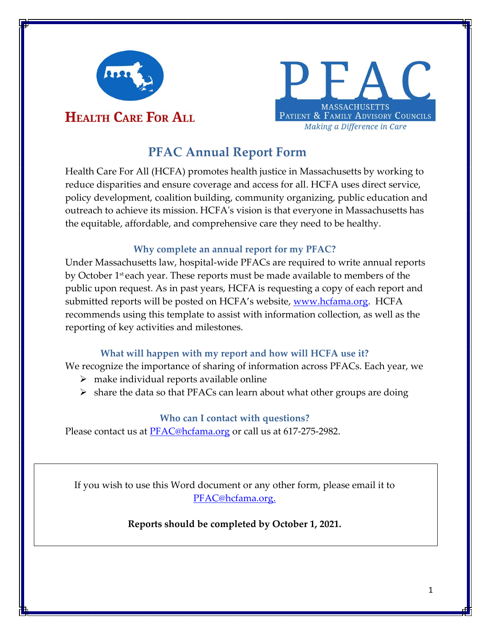

# **HEALTH CARE FOR ALL**

# **MASSACHUSETTS** PATIENT & FAMILY ADVISORY COUNCILS Making a Difference in Care

# **PFAC Annual Report Form**

Health Care For All (HCFA) promotes health justice in Massachusetts by working to reduce disparities and ensure coverage and access for all. HCFA uses direct service, policy development, coalition building, community organizing, public education and outreach to achieve its mission. HCFA's vision is that everyone in Massachusetts has the equitable, affordable, and comprehensive care they need to be healthy.

## **Why complete an annual report for my PFAC?**

Under Massachusetts law, hospital-wide PFACs are required to write annual reports by October 1st each year. These reports must be made available to members of the public upon request. As in past years, HCFA is requesting a copy of each report and submitted reports will be posted on HCFA's website, <u>www.hcfama.org</u>. HCFA recommends using this template to assist with information collection, as well as the reporting of key activities and milestones.

## **What will happen with my report and how will HCFA use it?**

We recognize the importance of sharing of information across PFACs. Each year, we

- $\triangleright$  make individual reports available online
- $\triangleright$  share the data so that PFACs can learn about what other groups are doing

## **Who can I contact with questions?**

Please contact us at [PFAC@hcfama.org](mailto:PFAC@hcfama.org) or call us at 617-275-2982.

If you wish to use this Word document or any other form, please email it to [PFAC@hcfama.org.](mailto:PFAC@hcfama.org)

## **Reports should be completed by October 1, 2021.**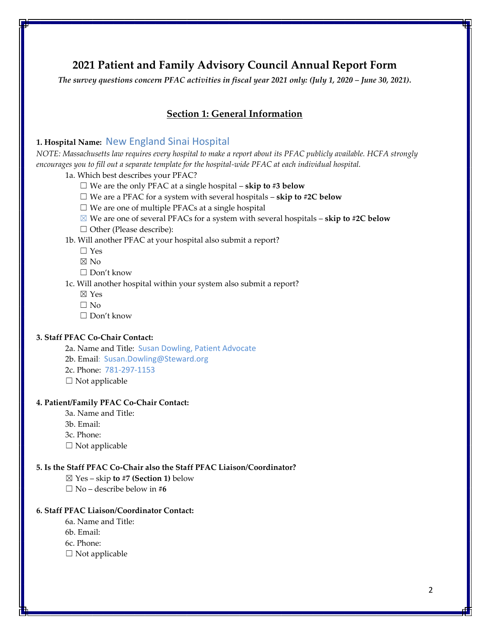## **2021 Patient and Family Advisory Council Annual Report Form**

*The survey questions concern PFAC activities in fiscal year 2021 only: (July 1, 2020 – June 30, 2021).*

## **Section 1: General Information**

## **1. Hospital Name:** New England Sinai Hospital

*NOTE: Massachusetts law requires every hospital to make a report about its PFAC publicly available. HCFA strongly encourages you to fill out a separate template for the hospital-wide PFAC at each individual hospital.*

- 1a. Which best describes your PFAC?
	- ☐ We are the only PFAC at a single hospital **skip to #3 below**
	- ☐ We are a PFAC for a system with several hospitals **skip to #2C below**
	- $\Box$  We are one of multiple PFACs at a single hospital
	- ☒ We are one of several PFACs for a system with several hospitals **skip to #2C below**
	- □ Other (Please describe):

## 1b. Will another PFAC at your hospital also submit a report?

- ☐ Yes
- ☒ No
- ☐ Don't know
- 1c. Will another hospital within your system also submit a report?
	- ☒ Yes
	- $\square$  No
	- $\Box$  Don't know

## **3. Staff PFAC Co-Chair Contact:**

2a. Name and Title: Susan Dowling, Patient Advocate

- 2b. Email: Susan.Dowling@Steward.org
- 2c. Phone: 781-297-1153
- $\Box$  Not applicable

#### **4. Patient/Family PFAC Co-Chair Contact:**

- 3a. Name and Title:
- 3b. Email:
- 3c. Phone:
- $\square$  Not applicable

#### **5. Is the Staff PFAC Co-Chair also the Staff PFAC Liaison/Coordinator?**

- ☒ Yes skip **to #7 (Section 1)** below
- ☐ No describe below in **#6**

#### **6. Staff PFAC Liaison/Coordinator Contact:**

- 6a. Name and Title:
- 6b. Email:
- 6c. Phone:
- ☐ Not applicable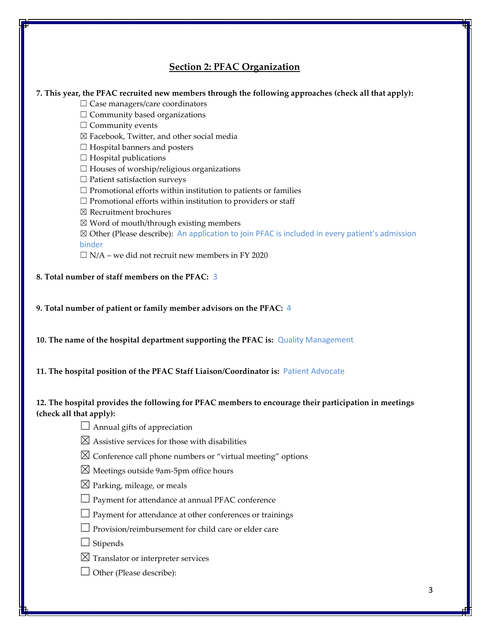## **Section 2: PFAC Organization**

## **7. This year, the PFAC recruited new members through the following approaches (check all that apply):**

- □ Case managers/care coordinators
- $\Box$  Community based organizations
- □ Community events
- ☒ Facebook, Twitter, and other social media
- $\Box$  Hospital banners and posters
- $\Box$  Hospital publications
- $\Box$  Houses of worship/religious organizations
- ☐ Patient satisfaction surveys
- $\Box$  Promotional efforts within institution to patients or families
- $\Box$  Promotional efforts within institution to providers or staff
- ☒ Recruitment brochures
- $\boxtimes$  Word of mouth/through existing members
- ☒ Other (Please describe): An application to join PFAC is included in every patient's admission binder
- $\Box$  N/A we did not recruit new members in FY 2020
- **8. Total number of staff members on the PFAC:** 3
- **9. Total number of patient or family member advisors on the PFAC:** 4
- **10. The name of the hospital department supporting the PFAC is:** Quality Management
- **11. The hospital position of the PFAC Staff Liaison/Coordinator is:** Patient Advocate

## **12. The hospital provides the following for PFAC members to encourage their participation in meetings (check all that apply):**

- $\Box$  Annual gifts of appreciation
- $\boxtimes$  Assistive services for those with disabilities
- $\boxtimes$  Conference call phone numbers or "virtual meeting" options
- $\boxtimes$  Meetings outside 9am-5pm office hours
- $\boxtimes$  Parking, mileage, or meals
- $□$  Payment for attendance at annual PFAC conference
- $\Box$  Payment for attendance at other conferences or trainings
- $\Box$  Provision/reimbursement for child care or elder care
- $\Box$  Stipends
- $\boxtimes$  Translator or interpreter services
- $\Box$  Other (Please describe):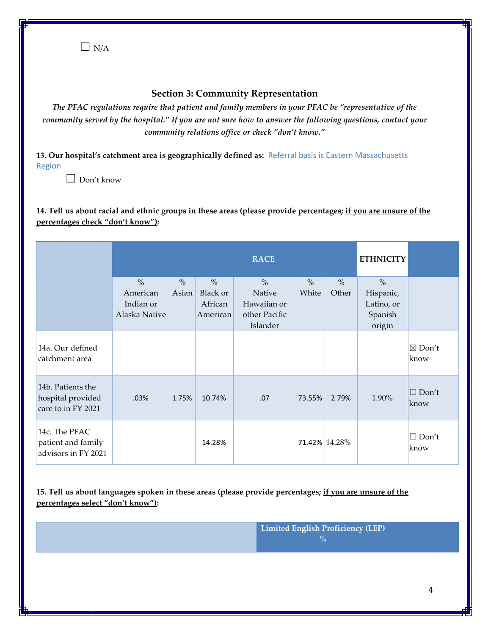$\Box$  N/A

## **Section 3: Community Representation**

*The PFAC regulations require that patient and family members in your PFAC be "representative of the community served by the hospital." If you are not sure how to answer the following questions, contact your community relations office or check "don't know."*

**13. Our hospital's catchment area is geographically defined as:** Referral basis is Eastern Massachusetts Region

 $\Box$  Don't know

**14. Tell us about racial and ethnic groups in these areas (please provide percentages; if you are unsure of the percentages check "don't know"):**

|                                                              | <b>RACE</b>               |       |                  |                           | <b>ETHNICITY</b> |       |                         |                           |
|--------------------------------------------------------------|---------------------------|-------|------------------|---------------------------|------------------|-------|-------------------------|---------------------------|
|                                                              | $\frac{0}{0}$<br>American | $\%$  | $\%$<br>Black or | $\%$<br>Native            | $\%$<br>White    | $\%$  | $\frac{0}{0}$           |                           |
|                                                              | Indian or                 | Asian | African          | Hawaiian or               |                  | Other | Hispanic,<br>Latino, or |                           |
|                                                              | Alaska Native             |       | American         | other Pacific<br>Islander |                  |       | Spanish<br>origin       |                           |
| 14a. Our defined<br>catchment area                           |                           |       |                  |                           |                  |       |                         | $\boxtimes$ Don't<br>know |
| 14b. Patients the<br>hospital provided<br>care to in FY 2021 | .03%                      | 1.75% | 10.74%           | .07                       | 73.55%           | 2.79% | 1.90%                   | $\Box$ Don't<br>know      |
| 14c. The PFAC<br>patient and family<br>advisors in FY 2021   |                           |       | 14.28%           |                           | 71.42% 14.28%    |       |                         | $\Box$ Don't<br>know      |

**15. Tell us about languages spoken in these areas (please provide percentages; if you are unsure of the percentages select "don't know"):**

> **Limited English Proficiency (LEP) %**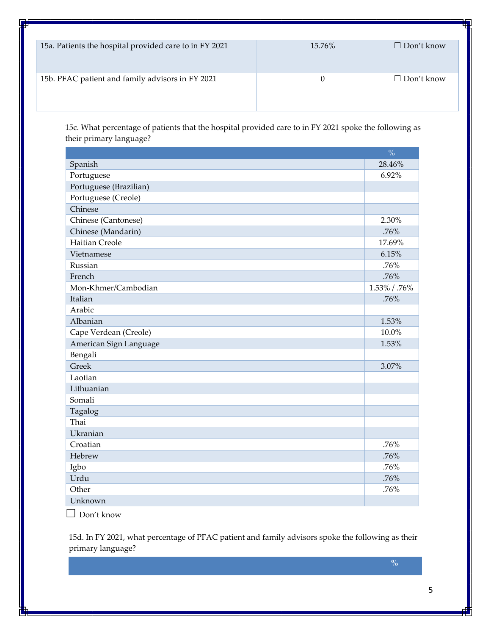| 15a. Patients the hospital provided care to in FY 2021 | 15.76% | Don't know<br>- 1 |
|--------------------------------------------------------|--------|-------------------|
| 15b. PFAC patient and family advisors in FY 2021       | U      | □ Don't know      |

15c. What percentage of patients that the hospital provided care to in FY 2021 spoke the following as their primary language?

|                        | $\frac{0}{0}$ |
|------------------------|---------------|
| Spanish                | 28.46%        |
| Portuguese             | 6.92%         |
| Portuguese (Brazilian) |               |
| Portuguese (Creole)    |               |
| Chinese                |               |
| Chinese (Cantonese)    | 2.30%         |
| Chinese (Mandarin)     | .76%          |
| <b>Haitian Creole</b>  | 17.69%        |
| Vietnamese             | 6.15%         |
| Russian                | .76%          |
| French                 | .76%          |
| Mon-Khmer/Cambodian    | 1.53% / .76%  |
| Italian                | .76%          |
| Arabic                 |               |
| Albanian               | 1.53%         |
| Cape Verdean (Creole)  | 10.0%         |
| American Sign Language | 1.53%         |
| Bengali                |               |
| Greek                  | 3.07%         |
| Laotian                |               |
| Lithuanian             |               |
| Somali                 |               |
| Tagalog                |               |
| Thai                   |               |
| Ukranian               |               |
| Croatian               | .76%          |
| Hebrew                 | .76%          |
| Igbo                   | .76%          |
| Urdu                   | .76%          |
| Other                  | .76%          |
| Unknown                |               |

☐ Don't know

15d. In FY 2021, what percentage of PFAC patient and family advisors spoke the following as their primary language?

**%**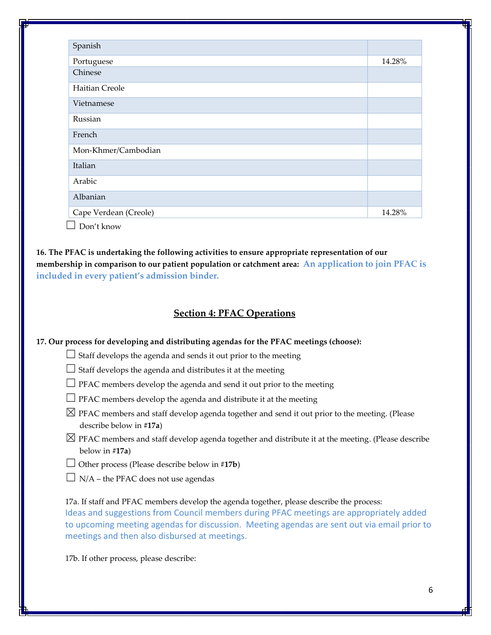| Spanish               |        |
|-----------------------|--------|
| Portuguese            | 14.28% |
| Chinese               |        |
| Haitian Creole        |        |
| Vietnamese            |        |
| Russian               |        |
| French                |        |
| Mon-Khmer/Cambodian   |        |
| Italian               |        |
| Arabic                |        |
| Albanian              |        |
| Cape Verdean (Creole) | 14.28% |

 $\Box$  Don't know

**16. The PFAC is undertaking the following activities to ensure appropriate representation of our membership in comparison to our patient population or catchment area: An application to join PFAC is included in every patient's admission binder.**

## **Section 4: PFAC Operations**

**17. Our process for developing and distributing agendas for the PFAC meetings (choose):**

□ Staff develops the agenda and sends it out prior to the meeting

 $\Box$  Staff develops the agenda and distributes it at the meeting

- $\Box$  PFAC members develop the agenda and send it out prior to the meeting
- $\Box$  PFAC members develop the agenda and distribute it at the meeting
- $\boxtimes$  PFAC members and staff develop agenda together and send it out prior to the meeting. (Please describe below in **#17a**)
- $\boxtimes$  PFAC members and staff develop agenda together and distribute it at the meeting. (Please describe below in #**17a**)
- ☐ Other process (Please describe below in #**17b**)
- $\Box$  N/A the PFAC does not use agendas

17a. If staff and PFAC members develop the agenda together, please describe the process: Ideas and suggestions from Council members during PFAC meetings are appropriately added to upcoming meeting agendas for discussion. Meeting agendas are sent out via email prior to meetings and then also disbursed at meetings.

17b. If other process, please describe: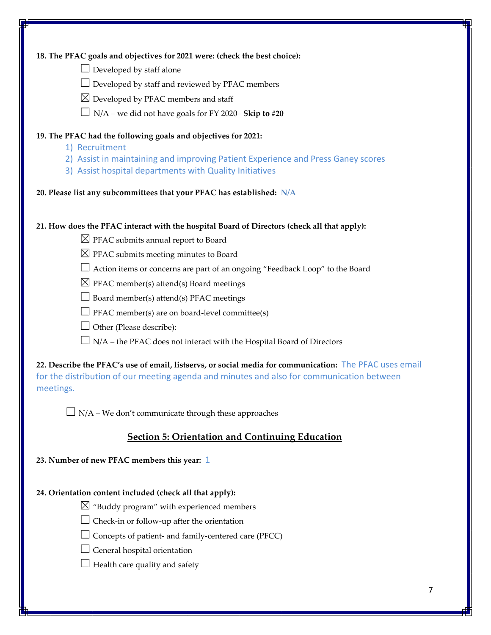| 18. The PFAC goals and objectives for 2021 were: (check the best choice):                               |
|---------------------------------------------------------------------------------------------------------|
| $\Box$ Developed by staff alone                                                                         |
| $\Box$ Developed by staff and reviewed by PFAC members                                                  |
| $\boxtimes$ Developed by PFAC members and staff                                                         |
| $\Box$ N/A – we did not have goals for FY 2020– Skip to #20                                             |
| 19. The PFAC had the following goals and objectives for 2021:                                           |
| 1) Recruitment                                                                                          |
| 2) Assist in maintaining and improving Patient Experience and Press Ganey scores                        |
| 3) Assist hospital departments with Quality Initiatives                                                 |
| 20. Please list any subcommittees that your PFAC has established: N/A                                   |
| 21. How does the PFAC interact with the hospital Board of Directors (check all that apply):             |
| $\boxtimes$ PFAC submits annual report to Board                                                         |
| $\boxtimes$ PFAC submits meeting minutes to Board                                                       |
| $\Box$ Action items or concerns are part of an ongoing "Feedback Loop" to the Board                     |
| $\boxtimes$ PFAC member(s) attend(s) Board meetings                                                     |
| $\Box$ Board member(s) attend(s) PFAC meetings                                                          |
| $\Box$ PFAC member(s) are on board-level committee(s)                                                   |
| $\Box$ Other (Please describe):                                                                         |
| $\Box$ N/A – the PFAC does not interact with the Hospital Board of Directors                            |
| 22. Describe the PFAC's use of email, listservs, or social media for communication: The PFAC uses email |
| for the distribution of our meeting agenda and minutes and also for communication between               |
| meetings.                                                                                               |
|                                                                                                         |
| $\Box$ N/A – We don't communicate through these approaches                                              |
| <b>Section 5: Orientation and Continuing Education</b>                                                  |
| 23. Number of new PFAC members this year: 1                                                             |
| 24. Orientation content included (check all that apply):                                                |
| $\boxtimes$ "Buddy program" with experienced members                                                    |
| Check-in or follow-up after the orientation                                                             |
| Concepts of patient- and family-centered care (PFCC)                                                    |
| General hospital orientation                                                                            |
| Health care quality and safety                                                                          |
|                                                                                                         |
| 7                                                                                                       |
|                                                                                                         |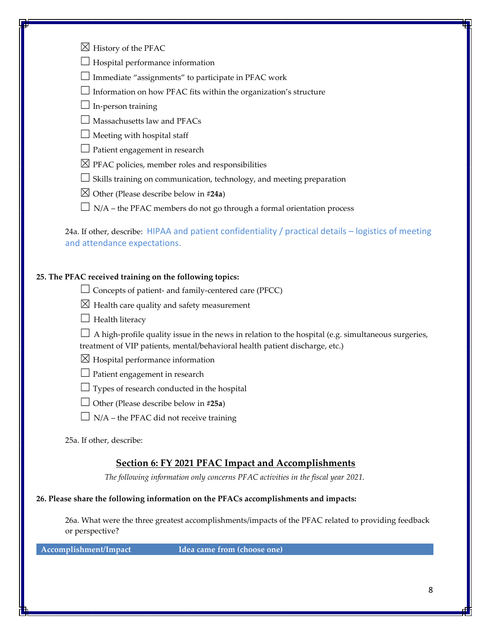| $\boxtimes$ History of the PFAC                                                                                                       |  |
|---------------------------------------------------------------------------------------------------------------------------------------|--|
| Hospital performance information                                                                                                      |  |
| Immediate "assignments" to participate in PFAC work                                                                                   |  |
| Information on how PFAC fits within the organization's structure                                                                      |  |
| In-person training                                                                                                                    |  |
| Massachusetts law and PFACs                                                                                                           |  |
| Meeting with hospital staff                                                                                                           |  |
| Patient engagement in research                                                                                                        |  |
| $\boxtimes$ PFAC policies, member roles and responsibilities                                                                          |  |
| Skills training on communication, technology, and meeting preparation                                                                 |  |
| $\boxtimes$ Other (Please describe below in #24a)                                                                                     |  |
| $\Box$ N/A – the PFAC members do not go through a formal orientation process                                                          |  |
| 24a. If other, describe: HIPAA and patient confidentiality / practical details - logistics of meeting<br>and attendance expectations. |  |
| 25. The PFAC received training on the following topics:                                                                               |  |
| $\Box$ Concepts of patient- and family-centered care (PFCC)                                                                           |  |
| $\boxtimes$ Health care quality and safety measurement                                                                                |  |
| $\Box$ Health literacy                                                                                                                |  |
| A high-profile quality issue in the news in relation to the hospital (e.g. simultaneous surgeries,                                    |  |
| treatment of VIP patients, mental/behavioral health patient discharge, etc.)                                                          |  |
| $\boxtimes$ Hospital performance information                                                                                          |  |
| $\perp$ Patient engagement in research                                                                                                |  |
| Types of research conducted in the hospital                                                                                           |  |
| Other (Please describe below in #25a)                                                                                                 |  |
| $\Box$ N/A – the PFAC did not receive training                                                                                        |  |
| 25a. If other, describe:                                                                                                              |  |
| <b>Section 6: FY 2021 PFAC Impact and Accomplishments</b>                                                                             |  |
| The following information only concerns PFAC activities in the fiscal year 2021.                                                      |  |
| 26. Please share the following information on the PFACs accomplishments and impacts:                                                  |  |
| 26a. What were the three greatest accomplishments/impacts of the PFAC related to providing feedback<br>or perspective?                |  |
| Accomplishment/Impact<br>Idea came from (choose one)                                                                                  |  |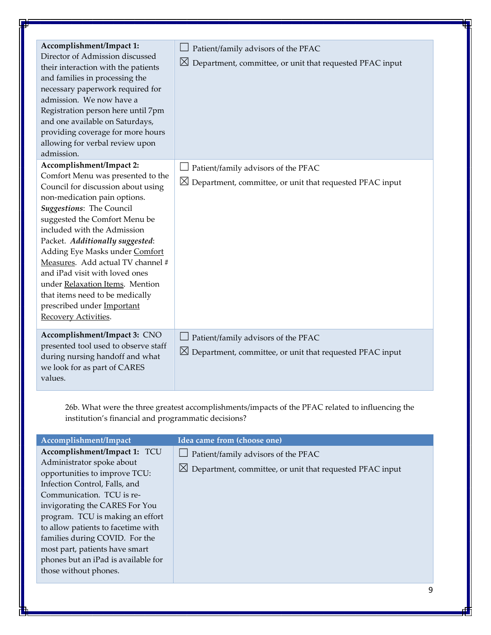| Accomplishment/Impact 1:<br>Director of Admission discussed<br>their interaction with the patients<br>and families in processing the<br>necessary paperwork required for<br>admission. We now have a<br>Registration person here until 7pm<br>and one available on Saturdays,<br>providing coverage for more hours<br>allowing for verbal review upon<br>admission.                                                                                                                                     | Patient/family advisors of the PFAC<br>$\boxtimes$ Department, committee, or unit that requested PFAC input |
|---------------------------------------------------------------------------------------------------------------------------------------------------------------------------------------------------------------------------------------------------------------------------------------------------------------------------------------------------------------------------------------------------------------------------------------------------------------------------------------------------------|-------------------------------------------------------------------------------------------------------------|
| Accomplishment/Impact 2:<br>Comfort Menu was presented to the<br>Council for discussion about using<br>non-medication pain options.<br>Suggestions: The Council<br>suggested the Comfort Menu be<br>included with the Admission<br>Packet. Additionally suggested:<br>Adding Eye Masks under Comfort<br>Measures. Add actual TV channel #<br>and iPad visit with loved ones<br>under Relaxation Items. Mention<br>that items need to be medically<br>prescribed under Important<br>Recovery Activities. | Patient/family advisors of the PFAC<br>$\boxtimes$ Department, committee, or unit that requested PFAC input |
| Accomplishment/Impact 3: CNO<br>presented tool used to observe staff<br>during nursing handoff and what<br>we look for as part of CARES<br>values.                                                                                                                                                                                                                                                                                                                                                      | Patient/family advisors of the PFAC<br>$\boxtimes$ Department, committee, or unit that requested PFAC input |

26b. What were the three greatest accomplishments/impacts of the PFAC related to influencing the institution's financial and programmatic decisions?

| Accomplishment/Impact                                                                                                                                                                                                                                                                                                                                                                                    | Idea came from (choose one)                                                                                        |
|----------------------------------------------------------------------------------------------------------------------------------------------------------------------------------------------------------------------------------------------------------------------------------------------------------------------------------------------------------------------------------------------------------|--------------------------------------------------------------------------------------------------------------------|
| Accomplishment/Impact 1: TCU<br>Administrator spoke about<br>opportunities to improve TCU:<br>Infection Control, Falls, and<br>Communication. TCU is re-<br>invigorating the CARES For You<br>program. TCU is making an effort<br>to allow patients to facetime with<br>families during COVID. For the<br>most part, patients have smart<br>phones but an iPad is available for<br>those without phones. | $\Box$ Patient/family advisors of the PFAC<br>$\boxtimes$ Department, committee, or unit that requested PFAC input |
|                                                                                                                                                                                                                                                                                                                                                                                                          |                                                                                                                    |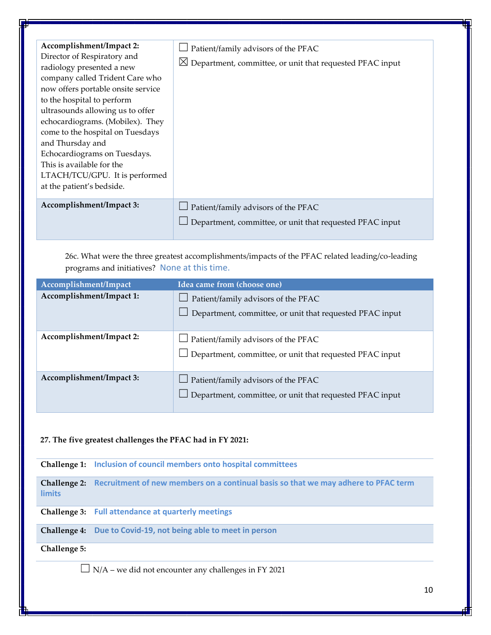| Accomplishment/Impact 2:<br>Director of Respiratory and<br>radiology presented a new<br>company called Trident Care who<br>now offers portable onsite service<br>to the hospital to perform<br>ultrasounds allowing us to offer<br>echocardiograms. (Mobilex). They<br>come to the hospital on Tuesdays<br>and Thursday and<br>Echocardiograms on Tuesdays.<br>This is available for the<br>LTACH/TCU/GPU. It is performed<br>at the patient's bedside. | $\Box$ Patient/family advisors of the PFAC<br>$\boxtimes$ Department, committee, or unit that requested PFAC input |
|---------------------------------------------------------------------------------------------------------------------------------------------------------------------------------------------------------------------------------------------------------------------------------------------------------------------------------------------------------------------------------------------------------------------------------------------------------|--------------------------------------------------------------------------------------------------------------------|
| Accomplishment/Impact 3:                                                                                                                                                                                                                                                                                                                                                                                                                                | $\Box$ Patient/family advisors of the PFAC<br>Department, committee, or unit that requested PFAC input             |

26c. What were the three greatest accomplishments/impacts of the PFAC related leading/co-leading programs and initiatives? None at this time.

| Accomplishment/Impact    | Idea came from (choose one)                                                                                    |
|--------------------------|----------------------------------------------------------------------------------------------------------------|
| Accomplishment/Impact 1: | $\Box$ Patient/family advisors of the PFAC<br>$\perp$ Department, committee, or unit that requested PFAC input |
| Accomplishment/Impact 2: | $\Box$ Patient/family advisors of the PFAC<br>$\Box$ Department, committee, or unit that requested PFAC input  |
| Accomplishment/Impact 3: | $\Box$ Patient/family advisors of the PFAC<br>Department, committee, or unit that requested PFAC input         |

## **27. The five greatest challenges the PFAC had in FY 2021:**

**Challenge 1: Inclusion of council members onto hospital committees**

**Challenge 2: Recruitment of new members on a continual basis so that we may adhere to PFAC term limits**

**Challenge 3: Full attendance at quarterly meetings**

**Challenge 4: Due to Covid-19, not being able to meet in person**

**Challenge 5:** 

 $\Box$  N/A – we did not encounter any challenges in FY 2021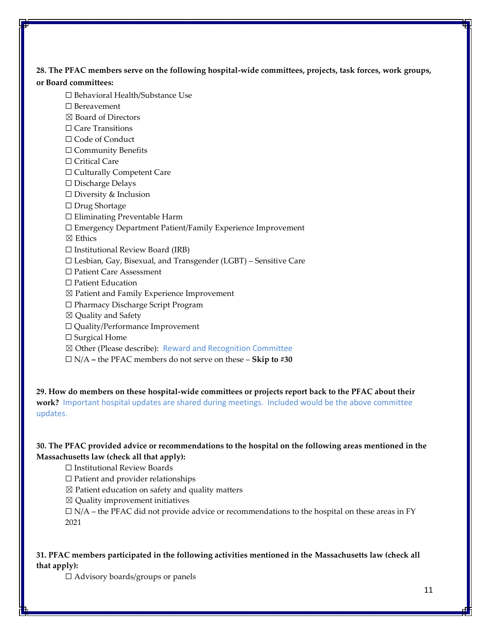**28. The PFAC members serve on the following hospital-wide committees, projects, task forces, work groups,** 

#### **or Board committees:**

- ☐ Behavioral Health/Substance Use
- ☐ Bereavement
- ☒ Board of Directors
- ☐ Care Transitions
- □ Code of Conduct
- ☐ Community Benefits
- □ Critical Care
- □ Culturally Competent Care
- ☐ Discharge Delays
- ☐ Diversity & Inclusion
- ☐ Drug Shortage
- ☐ Eliminating Preventable Harm
- ☐ Emergency Department Patient/Family Experience Improvement
- ☒ Ethics
- $\Box$  Institutional Review Board (IRB)
- ☐ Lesbian, Gay, Bisexual, and Transgender (LGBT) Sensitive Care
- ☐ Patient Care Assessment
- ☐ Patient Education
- ☒ Patient and Family Experience Improvement
- ☐ Pharmacy Discharge Script Program
- ☒ Quality and Safety
- ☐ Quality/Performance Improvement
- □ Surgical Home
- ⊠ Other (Please describe): Reward and Recognition Committee
- ☐ N/A **–** the PFAC members do not serve on these **Skip to #30**

**29. How do members on these hospital-wide committees or projects report back to the PFAC about their work?** Important hospital updates are shared during meetings. Included would be the above committee updates.

## **30. The PFAC provided advice or recommendations to the hospital on the following areas mentioned in the Massachusetts law (check all that apply):**

☐ Institutional Review Boards

☐ Patient and provider relationships

 $\boxtimes$  Patient education on safety and quality matters

 $\boxtimes$  Quality improvement initiatives

 $\Box$  N/A – the PFAC did not provide advice or recommendations to the hospital on these areas in FY 2021

## **31. PFAC members participated in the following activities mentioned in the Massachusetts law (check all that apply):**

☐ Advisory boards/groups or panels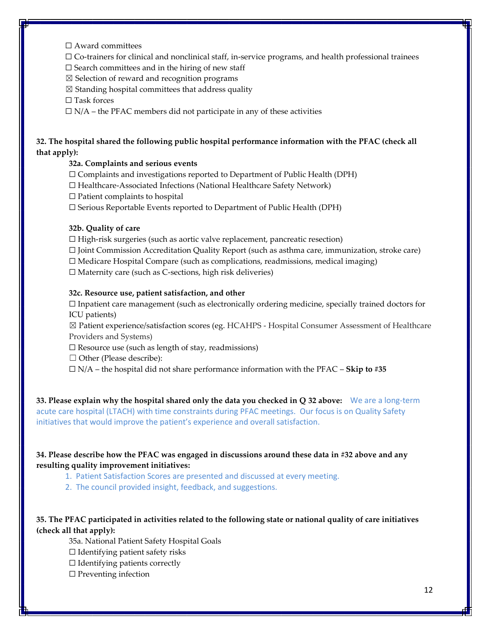- ☐ Award committees
- ☐ Co-trainers for clinical and nonclinical staff, in-service programs, and health professional trainees
- $\square$  Search committees and in the hiring of new staff
- ☒ Selection of reward and recognition programs
- $\boxtimes$  Standing hospital committees that address quality

□ Task forces

 $\Box$  N/A – the PFAC members did not participate in any of these activities

## **32. The hospital shared the following public hospital performance information with the PFAC (check all that apply):**

## **32a. Complaints and serious events**

- $\Box$  Complaints and investigations reported to Department of Public Health (DPH)
- ☐ Healthcare-Associated Infections (National Healthcare Safety Network)
- $\Box$  Patient complaints to hospital
- ☐ Serious Reportable Events reported to Department of Public Health (DPH)

#### **32b. Quality of care**

- $\Box$  High-risk surgeries (such as aortic valve replacement, pancreatic resection)
- ☐ Joint Commission Accreditation Quality Report (such as asthma care, immunization, stroke care)
- $\Box$  Medicare Hospital Compare (such as complications, readmissions, medical imaging)
- $\Box$  Maternity care (such as C-sections, high risk deliveries)

#### **32c. Resource use, patient satisfaction, and other**

☐ Inpatient care management (such as electronically ordering medicine, specially trained doctors for ICU patients)

☒ Patient experience/satisfaction scores (eg. HCAHPS - Hospital Consumer Assessment of Healthcare Providers and Systems)

- $\Box$  Resource use (such as length of stay, readmissions)
- □ Other (Please describe):
- ☐ N/A the hospital did not share performance information with the PFAC **Skip to #35**

**33. Please explain why the hospital shared only the data you checked in Q 32 above:** We are a long-term acute care hospital (LTACH) with time constraints during PFAC meetings. Our focus is on Quality Safety initiatives that would improve the patient's experience and overall satisfaction.

## **34. Please describe how the PFAC was engaged in discussions around these data in #32 above and any resulting quality improvement initiatives:**

- 1. Patient Satisfaction Scores are presented and discussed at every meeting.
- 2. The council provided insight, feedback, and suggestions.

## **35. The PFAC participated in activities related to the following state or national quality of care initiatives (check all that apply):**

35a. National Patient Safety Hospital Goals

- $\Box$  Identifying patient safety risks
- ☐ Identifying patients correctly
- $\Box$  Preventing infection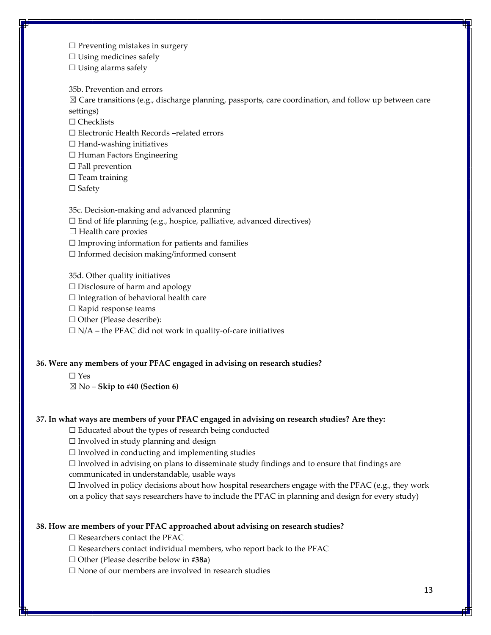$\Box$  Preventing mistakes in surgery

 $\Box$  Using medicines safely

 $\Box$  Using alarms safely

35b. Prevention and errors

☒ Care transitions (e.g., discharge planning, passports, care coordination, and follow up between care settings)

☐ Checklists

☐ Electronic Health Records –related errors

 $\Box$  Hand-washing initiatives

☐ Human Factors Engineering

 $\Box$  Fall prevention

 $\Box$  Team training

☐ Safety

35c. Decision-making and advanced planning

 $\Box$  End of life planning (e.g., hospice, palliative, advanced directives)

 $\Box$  Health care proxies

 $\Box$  Improving information for patients and families

☐ Informed decision making/informed consent

35d. Other quality initiatives

☐ Disclosure of harm and apology

☐ Integration of behavioral health care

☐ Rapid response teams

☐ Other (Please describe):

 $\Box$  N/A – the PFAC did not work in quality-of-care initiatives

#### **36. Were any members of your PFAC engaged in advising on research studies?**

☐ Yes

☒ No – **Skip to #40 (Section 6)**

## **37. In what ways are members of your PFAC engaged in advising on research studies? Are they:**

☐ Educated about the types of research being conducted

 $\Box$  Involved in study planning and design

 $\Box$  Involved in conducting and implementing studies

 $\Box$  Involved in advising on plans to disseminate study findings and to ensure that findings are communicated in understandable, usable ways

 $\Box$  Involved in policy decisions about how hospital researchers engage with the PFAC (e.g., they work on a policy that says researchers have to include the PFAC in planning and design for every study)

## **38. How are members of your PFAC approached about advising on research studies?**

□ Researchers contact the PFAC

□ Researchers contact individual members, who report back to the PFAC

☐ Other (Please describe below in **#38a**)

☐ None of our members are involved in research studies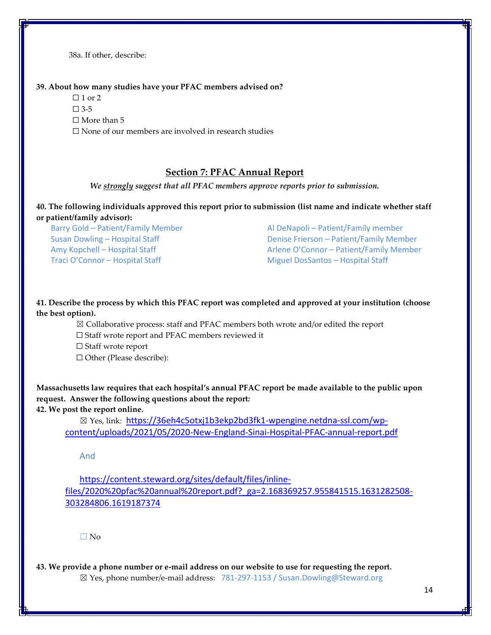38a. If other, describe:

#### **39. About how many studies have your PFAC members advised on?**

- $\Box$  1 or 2
- $\square$  3-5
- □ More than 5
- ☐ None of our members are involved in research studies

## **Section 7: PFAC Annual Report**

*We strongly suggest that all PFAC members approve reports prior to submission.*

**40. The following individuals approved this report prior to submission (list name and indicate whether staff or patient/family advisor):** 

Traci O'Connor – Hospital Staff Miguel DosSantos – Hospital Staff Miguel DosSantos – Hospital Staff

Barry Gold – Patient/Family Member Al DeNapoli – Patient/Family member Susan Dowling – Hospital Staff **Denise Frierson – Patient/Family Member** Amy Kopchell – Hospital Staff Arlene O'Connor – Patient/Family Member

**41. Describe the process by which this PFAC report was completed and approved at your institution (choose the best option).**

- ☒ Collaborative process: staff and PFAC members both wrote and/or edited the report
- ☐ Staff wrote report and PFAC members reviewed it
- ☐ Staff wrote report
- ☐ Other (Please describe):

**Massachusetts law requires that each hospital's annual PFAC report be made available to the public upon request. Answer the following questions about the report***:* **42. We post the report online.**

☒ Yes, link: [https://36eh4c5otxj1b3ekp2bd3fk1-wpengine.netdna-ssl.com/wp](https://36eh4c5otxj1b3ekp2bd3fk1-wpengine.netdna-ssl.com/wp-content/uploads/2021/05/2020-New-England-Sinai-Hospital-PFAC-annual-report.pdf)[content/uploads/2021/05/2020-New-England-Sinai-Hospital-PFAC-annual-report.pdf](https://36eh4c5otxj1b3ekp2bd3fk1-wpengine.netdna-ssl.com/wp-content/uploads/2021/05/2020-New-England-Sinai-Hospital-PFAC-annual-report.pdf)

And

[https://content.steward.org/sites/default/files/inline](https://content.steward.org/sites/default/files/inline-files/2020%20pfac%20annual%20report.pdf?_ga=2.168369257.955841515.1631282508-303284806.1619187374)[files/2020%20pfac%20annual%20report.pdf?\\_ga=2.168369257.955841515.1631282508-](https://content.steward.org/sites/default/files/inline-files/2020%20pfac%20annual%20report.pdf?_ga=2.168369257.955841515.1631282508-303284806.1619187374) [303284806.1619187374](https://content.steward.org/sites/default/files/inline-files/2020%20pfac%20annual%20report.pdf?_ga=2.168369257.955841515.1631282508-303284806.1619187374)

 $\Box$  No

**43. We provide a phone number or e-mail address on our website to use for requesting the report.** ☒ Yes, phone number/e-mail address: 781-297-1153 / Susan.Dowling@Steward.org